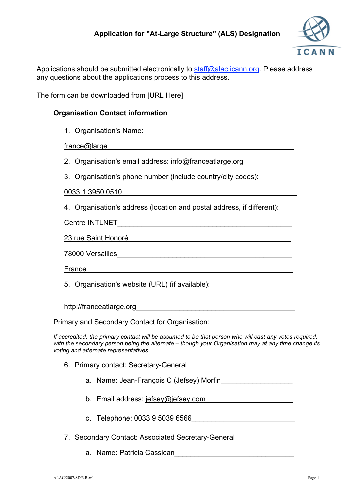

Applications should be submitted electronically to staff@alac.icann.org. Please address any questions about the applications process to this address.

The form can be downloaded from [URL Here]

## **Organisation Contact information**

1. Organisation's Name:

france@large

- 2. Organisation's email address: info@franceatlarge.org
- 3. Organisation's phone number (include country/city codes):

0033 1 3950 0510\_\_\_\_\_\_\_\_\_\_\_\_\_\_\_\_\_\_\_\_\_\_\_\_\_\_\_\_\_\_\_\_\_\_\_\_\_\_\_\_\_\_\_\_

4. Organisation's address (location and postal address, if different):

Centre INTLNET

23 rue Saint Honoré

#### 78000 Versailles\_\_\_\_\_\_\_\_\_\_\_\_\_\_\_\_\_\_\_\_\_\_\_\_\_\_\_\_\_\_\_\_\_\_\_\_\_\_\_\_\_\_\_\_

France

5. Organisation's website (URL) (if available):

http://franceatlarge.org

Primary and Secondary Contact for Organisation:

*If accredited, the primary contact will be assumed to be that person who will cast any votes required, with the secondary person being the alternate – though your Organisation may at any time change its voting and alternate representatives.*

- 6. Primary contact: Secretary-General
	- a. Name: Jean-François C (Jefsey) Morfin
	- b. Email address: jefsey@jefsey.com
	- c. Telephone: 0033 9 5039 6566
- 7. Secondary Contact: Associated Secretary-General
	- a. Name: Patricia Cassican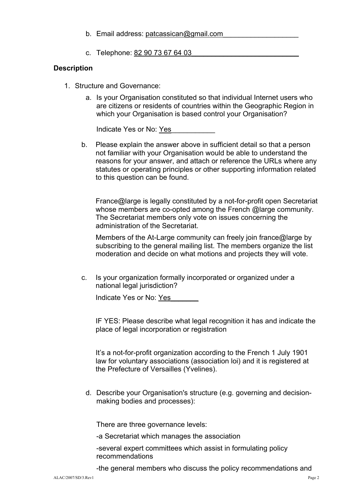- b. Email address: patcassican@gmail.com
- c. Telephone: 82 90 73 67 64 03

#### **Description**

- 1. Structure and Governance:
	- a. Is your Organisation constituted so that individual Internet users who are citizens or residents of countries within the Geographic Region in which your Organisation is based control your Organisation?

Indicate Yes or No: Yes

b. Please explain the answer above in sufficient detail so that a person not familiar with your Organisation would be able to understand the reasons for your answer, and attach or reference the URLs where any statutes or operating principles or other supporting information related to this question can be found.

France@large is legally constituted by a not-for-profit open Secretariat whose members are co-opted among the French @large community. The Secretariat members only vote on issues concerning the administration of the Secretariat.

Members of the At-Large community can freely join france@large by subscribing to the general mailing list. The members organize the list moderation and decide on what motions and projects they will vote.

c. Is your organization formally incorporated or organized under a national legal jurisdiction?

Indicate Yes or No: Yes

IF YES: Please describe what legal recognition it has and indicate the place of legal incorporation or registration

It's a not-for-profit organization according to the French 1 July 1901 law for voluntary associations (association loi) and it is registered at the Prefecture of Versailles (Yvelines).

d. Describe your Organisation's structure (e.g. governing and decisionmaking bodies and processes):

There are three governance levels:

-a Secretariat which manages the association

-several expert committees which assist in formulating policy recommendations

-the general members who discuss the policy recommendations and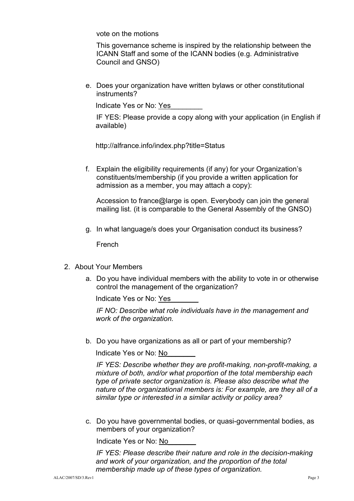vote on the motions

This governance scheme is inspired by the relationship between the ICANN Staff and some of the ICANN bodies (e.g. Administrative Council and GNSO)

e. Does your organization have written bylaws or other constitutional instruments?

Indicate Yes or No: Yes\_\_\_\_\_\_\_\_

IF YES: Please provide a copy along with your application (in English if available)

http://alfrance.info/index.php?title=Status

f. Explain the eligibility requirements (if any) for your Organization's constituents/membership (if you provide a written application for admission as a member, you may attach a copy):

Accession to france@large is open. Everybody can join the general mailing list. (it is comparable to the General Assembly of the GNSO)

g. In what language/s does your Organisation conduct its business?

French

- 2. About Your Members
	- a. Do you have individual members with the ability to vote in or otherwise control the management of the organization?

Indicate Yes or No: Yes\_\_\_\_\_\_\_

*IF NO: Describe what role individuals have in the management and work of the organization.*

b. Do you have organizations as all or part of your membership?

Indicate Yes or No: No\_\_\_\_\_\_\_

*IF YES: Describe whether they are profit-making, non-profit-making, a mixture of both, and/or what proportion of the total membership each type of private sector organization is. Please also describe what the nature of the organizational members is: For example, are they all of a similar type or interested in a similar activity or policy area?*

c. Do you have governmental bodies, or quasi-governmental bodies, as members of your organization?

Indicate Yes or No: No\_\_\_\_\_\_\_

*IF YES: Please describe their nature and role in the decision-making and work of your organization, and the proportion of the total membership made up of these types of organization.*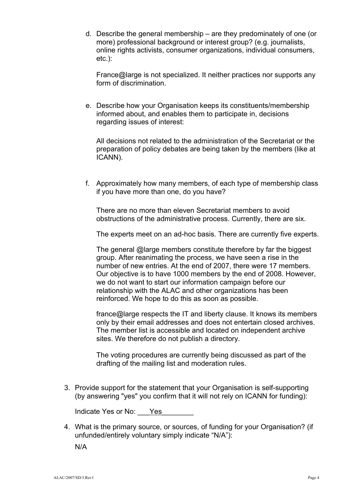d. Describe the general membership – are they predominately of one (or more) professional background or interest group? (e.g. journalists, online rights activists, consumer organizations, individual consumers, etc.):

France@large is not specialized. It neither practices nor supports any form of discrimination

e. Describe how your Organisation keeps its constituents/membership informed about, and enables them to participate in, decisions regarding issues of interest:

All decisions not related to the administration of the Secretariat or the preparation of policy debates are being taken by the members (like at ICANN).

f. Approximately how many members, of each type of membership class if you have more than one, do you have?

There are no more than eleven Secretariat members to avoid obstructions of the administrative process. Currently, there are six.

The experts meet on an ad-hoc basis. There are currently five experts.

The general @large members constitute therefore by far the biggest group. After reanimating the process, we have seen a rise in the number of new entries. At the end of 2007, there were 17 members. Our objective is to have 1000 members by the end of 2008. However, we do not want to start our information campaign before our relationship with the ALAC and other organizations has been reinforced. We hope to do this as soon as possible.

france@large respects the IT and liberty clause. It knows its members only by their email addresses and does not entertain closed archives. The member list is accessible and located on independent archive sites. We therefore do not publish a directory.

The voting procedures are currently being discussed as part of the drafting of the mailing list and moderation rules.

3. Provide support for the statement that your Organisation is self-supporting (by answering "yes" you confirm that it will not rely on ICANN for funding):

Indicate Yes or No: Yes

4. What is the primary source, or sources, of funding for your Organisation? (if unfunded/entirely voluntary simply indicate "N/A"):

N/A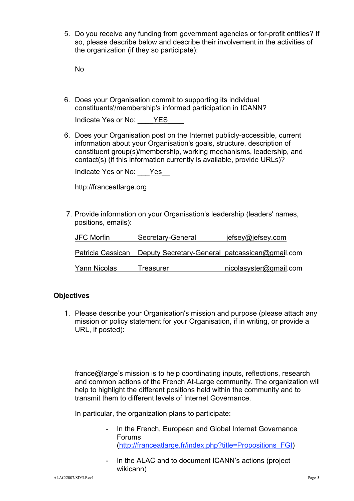5. Do you receive any funding from government agencies or for-profit entities? If so, please describe below and describe their involvement in the activities of the organization (if they so participate):

No

6. Does your Organisation commit to supporting its individual constituents'/membership's informed participation in ICANN?

| YES.<br>Indicate Yes or No: |
|-----------------------------|
|-----------------------------|

6. Does your Organisation post on the Internet publicly-accessible, current information about your Organisation's goals, structure, description of constituent group(s)/membership, working mechanisms, leadership, and contact(s) (if this information currently is available, provide URLs)?

Indicate Yes or No: Yes

http://franceatlarge.org

7. Provide information on your Organisation's leadership (leaders' names, positions, emails):

| <b>JFC Morfin</b> | Secretary-General                              | jefsey@jefsey.com      |
|-------------------|------------------------------------------------|------------------------|
| Patricia Cassican | Deputy Secretary-General patcassican@gmail.com |                        |
| Yann Nicolas      | Treasurer                                      | nicolasyster@gmail.com |

# **Objectives**

1. Please describe your Organisation's mission and purpose (please attach any mission or policy statement for your Organisation, if in writing, or provide a URL, if posted):

france@large's mission is to help coordinating inputs, reflections, research and common actions of the French At-Large community. The organization will help to highlight the different positions held within the community and to transmit them to different levels of Internet Governance.

In particular, the organization plans to participate:

- In the French, European and Global Internet Governance Forums (http://franceatlarge.fr/index.php?title=Propositions\_FGI)
- In the ALAC and to document ICANN's actions (project wikicann)